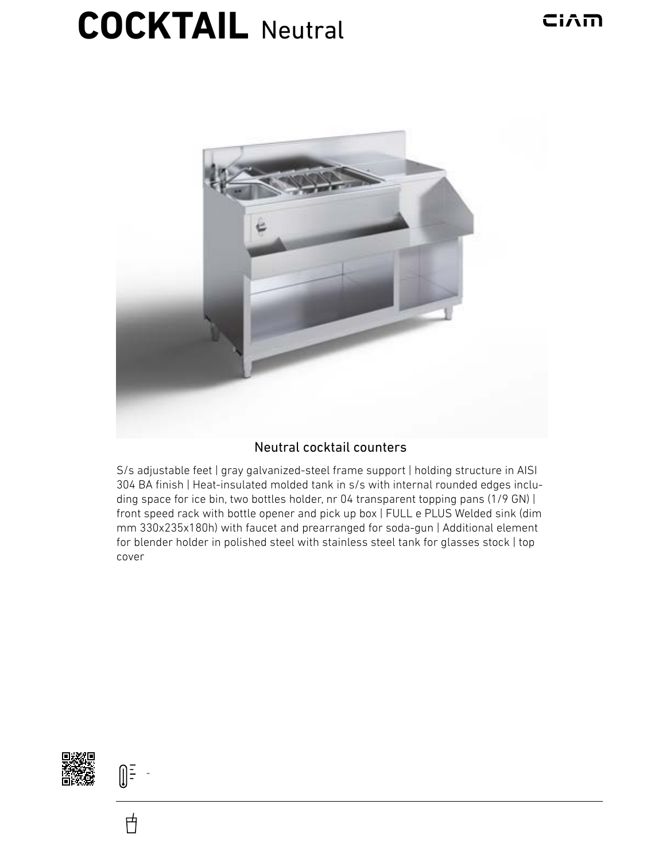## **COCKTAIL** Neutral



## Neutral cocktail counters

S/s adjustable feet | gray galvanized-steel frame support | holding structure in AISI 304 BA finish | Heat-insulated molded tank in s/s with internal rounded edges including space for ice bin, two bottles holder, nr 04 transparent topping pans (1/9 GN) | front speed rack with bottle opener and pick up box | FULL e PLUS Welded sink (dim mm 330x235x180h) with faucet and prearranged for soda-gun | Additional element for blender holder in polished steel with stainless steel tank for glasses stock | top cover



 $\begin{bmatrix} \frac{1}{2} & \frac{1}{2} \\ \frac{1}{2} & \frac{1}{2} \end{bmatrix}$